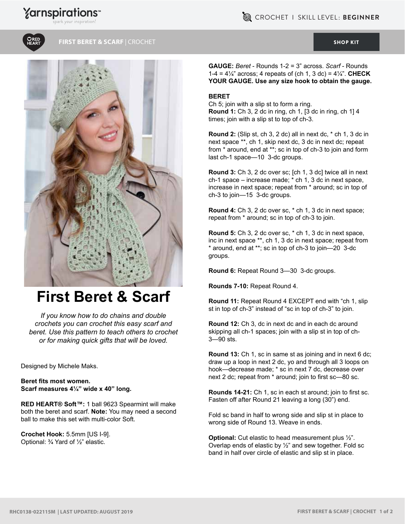## **Yarnspirations**





**FIRST BERET & SCARF** | CROCHET [SHOP KIT](https://www.yarnspirations.com/red-heart-first-beret---scarf/RHC0138-022115M.html#utm_source=pdf-yarnspirations&utm_medium=referral&utm_campaign=pdf-RHC0138-022115M)



## **First Beret & Scarf**

*If you know how to do chains and double crochets you can crochet this easy scarf and beret. Use this pattern to teach others to crochet or for making quick gifts that will be loved.*

Designed by Michele Maks.

**Beret fits most women. Scarf measures 4¼" wide x 40" long.**

**RED HEART® Soft™:** 1 ball 9623 Spearmint will make both the beret and scarf. **Note:** You may need a second ball to make this set with multi-color Soft.

**Crochet Hook:** 5.5mm [US I-9]. Optional: ¾ Yard of ½" elastic.

**GAUGE:** *Beret* - Rounds 1-2 = 3" across. *Scarf* - Rounds 1-4 = 4¼" across; 4 repeats of (ch 1, 3 dc) = 4¼". **CHECK YOUR GAUGE. Use any size hook to obtain the gauge.**

## **BERET**

Ch 5; join with a slip st to form a ring. **Round 1:** Ch 3, 2 dc in ring, ch 1, [3 dc in ring, ch 1] 4 times; join with a slip st to top of ch-3.

**Round 2:** (Slip st, ch 3, 2 dc) all in next dc, \* ch 1, 3 dc in next space \*\*, ch 1, skip next dc, 3 dc in next dc; repeat from \* around, end at \*\*; sc in top of ch-3 to join and form last ch-1 space—10 3-dc groups.

**Round 3:** Ch 3, 2 dc over sc; [ch 1, 3 dc] twice all in next ch-1 space – increase made; \* ch 1, 3 dc in next space, increase in next space; repeat from \* around; sc in top of ch-3 to join—15 3-dc groups.

**Round 4:** Ch 3, 2 dc over sc, \* ch 1, 3 dc in next space; repeat from \* around; sc in top of ch-3 to join.

**Round 5:** Ch 3, 2 dc over sc, \* ch 1, 3 dc in next space, inc in next space \*\*, ch 1, 3 dc in next space; repeat from \* around, end at \*\*; sc in top of ch-3 to join—20 3-dc groups.

**Round 6:** Repeat Round 3—30 3-dc groups.

**Rounds 7-10:** Repeat Round 4.

**Round 11:** Repeat Round 4 EXCEPT end with "ch 1, slip st in top of ch-3" instead of "sc in top of ch-3" to join.

**Round 12:** Ch 3, dc in next dc and in each dc around skipping all ch-1 spaces; join with a slip st in top of ch-3—90 sts.

**Round 13:** Ch 1, sc in same st as joining and in next 6 dc; draw up a loop in next 2 dc, yo and through all 3 loops on hook—decrease made; \* sc in next 7 dc, decrease over next 2 dc; repeat from \* around; join to first sc—80 sc.

**Rounds 14-21:** Ch 1, sc in each st around; join to first sc. Fasten off after Round 21 leaving a long (30") end.

Fold sc band in half to wrong side and slip st in place to wrong side of Round 13. Weave in ends.

**Optional:** Cut elastic to head measurement plus ½". Overlap ends of elastic by  $\frac{1}{2}$ " and sew together. Fold sc band in half over circle of elastic and slip st in place.